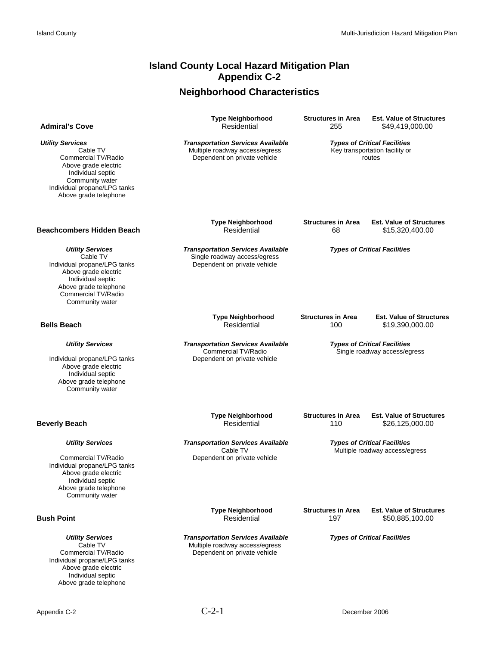## **Island County Local Hazard Mitigation Plan Appendix C-2**

# **Neighborhood Characteristics**

| <b>Admiral's Cove</b>                                                                                                                                                               | <b>Type Neighborhood</b><br>Residential                                                                    | <b>Structures in Area</b><br>255                                      | <b>Est. Value of Structures</b><br>\$49,419,000.00                              |
|-------------------------------------------------------------------------------------------------------------------------------------------------------------------------------------|------------------------------------------------------------------------------------------------------------|-----------------------------------------------------------------------|---------------------------------------------------------------------------------|
| <b>Utility Services</b><br>Cable TV<br>Commercial TV/Radio<br>Above grade electric<br>Individual septic<br>Community water<br>Individual propane/LPG tanks<br>Above grade telephone | <b>Transportation Services Available</b><br>Multiple roadway access/egress<br>Dependent on private vehicle |                                                                       | <b>Types of Critical Facilities</b><br>Key transportation facility or<br>routes |
| <b>Beachcombers Hidden Beach</b>                                                                                                                                                    | <b>Type Neighborhood</b><br>Residential                                                                    | <b>Structures in Area</b><br>68                                       | <b>Est. Value of Structures</b><br>\$15,320,400.00                              |
| <b>Utility Services</b><br>Cable TV<br>Individual propane/LPG tanks<br>Above grade electric<br>Individual septic<br>Above grade telephone<br>Commercial TV/Radio<br>Community water | <b>Transportation Services Available</b><br>Single roadway access/egress<br>Dependent on private vehicle   |                                                                       | <b>Types of Critical Facilities</b>                                             |
| <b>Bells Beach</b>                                                                                                                                                                  | <b>Type Neighborhood</b><br>Residential                                                                    | <b>Structures in Area</b><br>100                                      | <b>Est. Value of Structures</b><br>\$19,390,000.00                              |
| <b>Utility Services</b><br>Individual propane/LPG tanks<br>Above grade electric<br>Individual septic<br>Above grade telephone<br>Community water                                    | <b>Transportation Services Available</b><br>Commercial TV/Radio<br>Dependent on private vehicle            | <b>Types of Critical Facilities</b><br>Single roadway access/egress   |                                                                                 |
| <b>Beverly Beach</b>                                                                                                                                                                | <b>Type Neighborhood</b><br>Residential                                                                    | <b>Structures in Area</b><br>110                                      | <b>Est. Value of Structures</b><br>\$26,125,000.00                              |
| <b>Utility Services</b>                                                                                                                                                             | <b>Transportation Services Available</b><br>Cable TV                                                       | <b>Types of Critical Facilities</b><br>Multiple roadway access/egress |                                                                                 |
| Commercial TV/Radio<br>Individual propane/LPG tanks<br>Above grade electric<br>Individual septic<br>Above grade telephone<br>Community water                                        | Dependent on private vehicle                                                                               |                                                                       |                                                                                 |
| <b>Bush Point</b>                                                                                                                                                                   | <b>Type Neighborhood</b><br>Residential                                                                    | <b>Structures in Area</b><br>197                                      | <b>Est. Value of Structures</b><br>\$50,885,100.00                              |
| <b>Utility Services</b><br>Cable TV<br>Commercial TV/Radio<br>Individual propane/LPG tanks<br>Above grade electric<br>Individual septic<br>Above grade telephone                    | <b>Transportation Services Available</b><br>Multiple roadway access/egress<br>Dependent on private vehicle |                                                                       | <b>Types of Critical Facilities</b>                                             |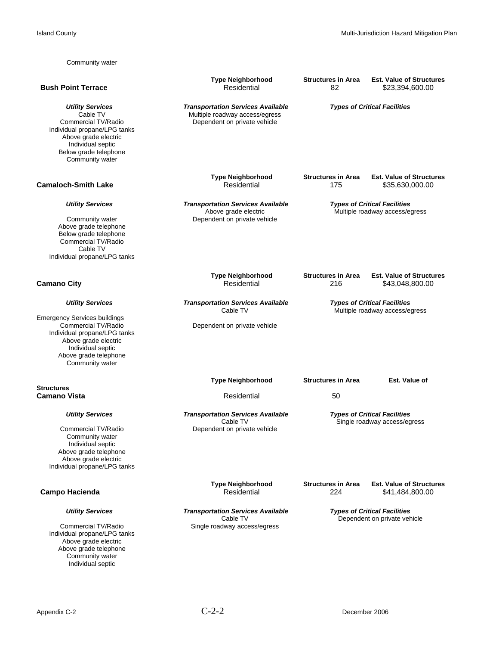| Community water                                                                                                                                                                     |                                                                                                            |                                                                       |                                                                       |
|-------------------------------------------------------------------------------------------------------------------------------------------------------------------------------------|------------------------------------------------------------------------------------------------------------|-----------------------------------------------------------------------|-----------------------------------------------------------------------|
| <b>Bush Point Terrace</b>                                                                                                                                                           | <b>Type Neighborhood</b><br>Residential                                                                    | <b>Structures in Area</b><br>82                                       | <b>Est. Value of Structures</b><br>\$23,394,600.00                    |
| <b>Utility Services</b><br>Cable TV<br>Commercial TV/Radio<br>Individual propane/LPG tanks<br>Above grade electric<br>Individual septic<br>Below grade telephone<br>Community water | <b>Transportation Services Available</b><br>Multiple roadway access/egress<br>Dependent on private vehicle |                                                                       | <b>Types of Critical Facilities</b>                                   |
| <b>Camaloch-Smith Lake</b>                                                                                                                                                          | <b>Type Neighborhood</b><br>Residential                                                                    | <b>Structures in Area</b><br>175                                      | <b>Est. Value of Structures</b><br>\$35,630,000.00                    |
| <b>Utility Services</b><br>Community water<br>Above grade telephone<br>Below grade telephone<br>Commercial TV/Radio<br>Cable TV<br>Individual propane/LPG tanks                     | <b>Transportation Services Available</b><br>Above grade electric<br>Dependent on private vehicle           |                                                                       | <b>Types of Critical Facilities</b><br>Multiple roadway access/egress |
| <b>Camano City</b>                                                                                                                                                                  | <b>Type Neighborhood</b><br>Residential                                                                    | <b>Structures in Area</b><br>216                                      | <b>Est. Value of Structures</b><br>\$43,048,800.00                    |
| <b>Utility Services</b><br><b>Emergency Services buildings</b>                                                                                                                      | <b>Transportation Services Available</b><br>Cable TV                                                       | <b>Types of Critical Facilities</b><br>Multiple roadway access/egress |                                                                       |
| Commercial TV/Radio<br>Individual propane/LPG tanks<br>Above grade electric<br>Individual septic<br>Above grade telephone<br>Community water                                        | Dependent on private vehicle                                                                               |                                                                       |                                                                       |
|                                                                                                                                                                                     | <b>Type Neighborhood</b>                                                                                   | <b>Structures in Area</b>                                             | Est. Value of                                                         |
| <b>Structures</b><br><b>Camano Vista</b>                                                                                                                                            | Residential                                                                                                | 50                                                                    |                                                                       |
| <b>Utility Services</b><br>Commercial TV/Radio<br>Community water<br>Individual septic<br>Above grade telephone<br>Above grade electric<br>Individual propane/LPG tanks             | <b>Transportation Services Available</b><br>Cable TV<br>Dependent on private vehicle                       |                                                                       | <b>Types of Critical Facilities</b><br>Single roadway access/egress   |
| Campo Hacienda                                                                                                                                                                      | <b>Type Neighborhood</b><br>Residential                                                                    | <b>Structures in Area</b><br>224                                      | <b>Est. Value of Structures</b><br>\$41,484,800.00                    |
| <b>Utility Services</b><br>Commercial TV/Radio<br>Individual propane/LPG tanks<br>Above grade electric<br>Above grade telephone<br>Community water<br>Individual septic             | <b>Transportation Services Available</b><br>Cable TV<br>Single roadway access/egress                       |                                                                       | <b>Types of Critical Facilities</b><br>Dependent on private vehicle   |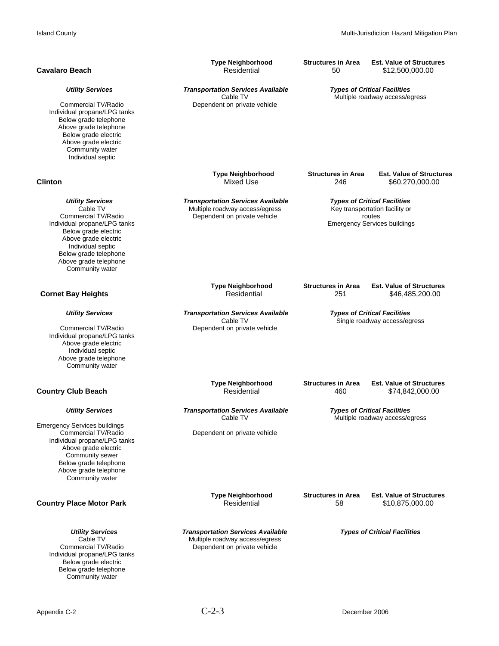| <b>Cavalaro Beach</b>                                                                                                                                                                                                                 | <b>Type Neighborhood</b>                                                                                   | <b>Structures in Area</b>                                           | <b>Est. Value of Structures</b>                                                                                        |
|---------------------------------------------------------------------------------------------------------------------------------------------------------------------------------------------------------------------------------------|------------------------------------------------------------------------------------------------------------|---------------------------------------------------------------------|------------------------------------------------------------------------------------------------------------------------|
|                                                                                                                                                                                                                                       | Residential                                                                                                | 50                                                                  | \$12,500,000.00                                                                                                        |
| <b>Utility Services</b><br>Commercial TV/Radio<br>Individual propane/LPG tanks<br>Below grade telephone<br>Above grade telephone<br>Below grade electric<br>Above grade electric<br>Community water<br>Individual septic              | Transportation Services Available<br>Cable TV<br>Dependent on private vehicle                              |                                                                     | <b>Types of Critical Facilities</b><br>Multiple roadway access/egress                                                  |
| <b>Clinton</b>                                                                                                                                                                                                                        | <b>Type Neighborhood</b>                                                                                   | <b>Structures in Area</b>                                           | <b>Est. Value of Structures</b>                                                                                        |
|                                                                                                                                                                                                                                       | <b>Mixed Use</b>                                                                                           | 246                                                                 | \$60,270,000.00                                                                                                        |
| <b>Utility Services</b><br>Cable TV<br>Commercial TV/Radio<br>Individual propane/LPG tanks<br>Below grade electric<br>Above grade electric<br>Individual septic<br>Below grade telephone<br>Above grade telephone<br>Community water  | <b>Transportation Services Available</b><br>Multiple roadway access/egress<br>Dependent on private vehicle |                                                                     | <b>Types of Critical Facilities</b><br>Key transportation facility or<br>routes<br><b>Emergency Services buildings</b> |
| <b>Cornet Bay Heights</b>                                                                                                                                                                                                             | <b>Type Neighborhood</b>                                                                                   | <b>Structures in Area</b>                                           | <b>Est. Value of Structures</b>                                                                                        |
|                                                                                                                                                                                                                                       | Residential                                                                                                | 251                                                                 | \$46,485,200.00                                                                                                        |
| <b>Utility Services</b><br>Commercial TV/Radio<br>Individual propane/LPG tanks<br>Above grade electric<br>Individual septic<br>Above grade telephone<br>Community water                                                               | <b>Transportation Services Available</b><br>Cable TV<br>Dependent on private vehicle                       | <b>Types of Critical Facilities</b><br>Single roadway access/egress |                                                                                                                        |
| <b>Country Club Beach</b>                                                                                                                                                                                                             | <b>Type Neighborhood</b>                                                                                   | <b>Structures in Area</b>                                           | <b>Est. Value of Structures</b>                                                                                        |
|                                                                                                                                                                                                                                       | Residential                                                                                                | 460                                                                 | \$74,842,000.00                                                                                                        |
| <b>Utility Services</b><br><b>Emergency Services buildings</b><br>Commercial TV/Radio<br>Individual propane/LPG tanks<br>Above grade electric<br>Community sewer<br>Below grade telephone<br>Above grade telephone<br>Community water | <b>Transportation Services Available</b><br>Cable TV<br>Dependent on private vehicle                       |                                                                     | <b>Types of Critical Facilities</b><br>Multiple roadway access/egress                                                  |
| <b>Country Place Motor Park</b>                                                                                                                                                                                                       | <b>Type Neighborhood</b>                                                                                   | <b>Structures in Area</b>                                           | <b>Est. Value of Structures</b>                                                                                        |
|                                                                                                                                                                                                                                       | Residential                                                                                                | 58                                                                  | \$10,875,000.00                                                                                                        |
| <b>Utility Services</b><br>Cable TV<br>Commercial TV/Radio<br>Individual propane/LPG tanks<br>Below grade electric<br>Below grade telephone<br>Community water                                                                        | <b>Transportation Services Available</b><br>Multiple roadway access/egress<br>Dependent on private vehicle |                                                                     | <b>Types of Critical Facilities</b>                                                                                    |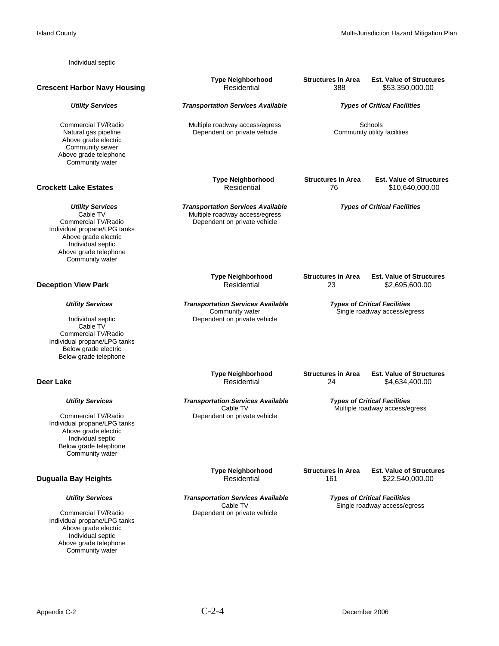Individual septic

Island County **Island County** Multi-Jurisdiction Hazard Mitigation Plan

 **Type Neighborhood Structures in Area Est. Value of Structures Crescent Harbor Navy Housing The Crescent Harbor Navy Housing Crescent Arbor Navy Housing Residential Arbor 2000.00** *Utility Services Transportation Services Available Types of Critical Facilities* Commercial TV/Radio **Commercial TV/Radio** Multiple roadway access/egress Schools<br>
Natural gas pipeline **Schools** Dependent on private vehicle Community utility facilities Dependent on private vehicle Above grade electric Community sewer Above grade telephone Community water **Type Neighborhood Structures in Area Est. Value of Structures**<br>Residential 76 \$10,640,000.00 **Crockett Lake Estates Residential 76** *Crockett Lake Estates* **Utility Services <b>Transportation Services Available Types of Critical Facilities Cable TV** *Types of Critical Facilities Cable TV Multiple roadway access/egress* Cable TV<br>Cable TV Multiple roadway access/egress<br>Dependent on private vehicle Dependent on private vehicle Individual propane/LPG tanks Above grade electric Individual septic Above grade telephone Community water **Type Neighborhood Structures in Area Est. Value of Structures**<br>Residential 23 \$2.695.600.00 **Deception View Park Residential 23** \$2,695,600.00  *Utility Services Transportation Services Available Types of Critical Facilities* Community water Single roadway access/egress<br>
Dependent on private vehicle<br>
Dependent on private vehicle Dependent on private vehicle Cable TV Commercial TV/Radio Individual propane/LPG tanks Below grade electric Below grade telephone **Type Neighborhood Structures in Area Est. Value of Structures**<br>**Residential Structures** 24 54.634.400.00 **Deer Lake** 84,634,400.00  *Utility Services Transportation Services Available Types of Critical Facilities* Cable TV Cable TV Multiple roadway access/egress<br>Commercial TV/Radio Commercial TV/Radio Dependent on private vehicle Individual propane/LPG tanks Above grade electric Individual septic Below grade telephone Community water **Type Neighborhood Structures in Area Est. Value of Structures**<br>Residential 161 \$22,540,000.00 **Dugualla Bay Heights** *Utility Services* Transportation Services Available **Types of Critical Facilities**<br>Cable TV *Cable TV* **Single roadway access/eg** Cable TV<br>Commercial TV/Radio Commercial TV/Radio Commercial TV/Radio Commercial TV/Radio Dependent on private vehicle Individual propane/LPG tanks Above grade electric Individual septic Above grade telephone Community water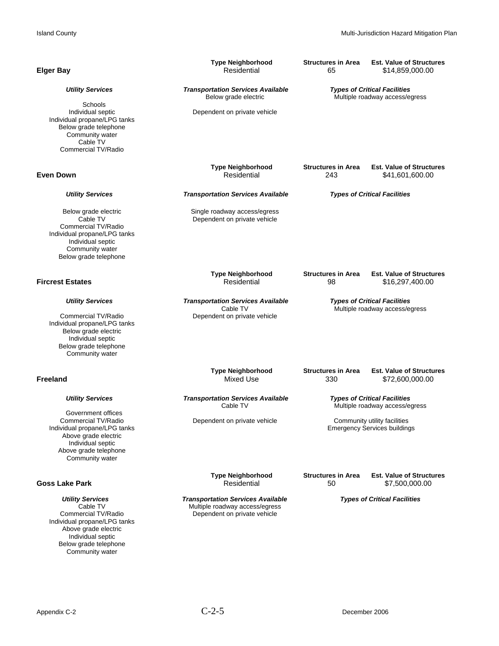| <b>Elger Bay</b>                                                                                                                                                                    | <b>Type Neighborhood</b><br>Residential                                                                    | <b>Structures in Area</b><br>65                                       | <b>Est. Value of Structures</b><br>\$14,859,000.00                    |
|-------------------------------------------------------------------------------------------------------------------------------------------------------------------------------------|------------------------------------------------------------------------------------------------------------|-----------------------------------------------------------------------|-----------------------------------------------------------------------|
| <b>Utility Services</b>                                                                                                                                                             | <b>Transportation Services Available</b><br>Below grade electric                                           | <b>Types of Critical Facilities</b><br>Multiple roadway access/egress |                                                                       |
| Schools<br>Individual septic<br>Individual propane/LPG tanks<br>Below grade telephone<br>Community water<br>Cable TV<br>Commercial TV/Radio                                         | Dependent on private vehicle                                                                               |                                                                       |                                                                       |
| <b>Even Down</b>                                                                                                                                                                    | <b>Type Neighborhood</b><br>Residential                                                                    | <b>Structures in Area</b><br>243                                      | <b>Est. Value of Structures</b><br>\$41,601,600.00                    |
| <b>Utility Services</b>                                                                                                                                                             | <b>Transportation Services Available</b>                                                                   |                                                                       | <b>Types of Critical Facilities</b>                                   |
| Below grade electric<br>Cable TV<br>Commercial TV/Radio<br>Individual propane/LPG tanks<br>Individual septic<br>Community water<br>Below grade telephone                            | Single roadway access/egress<br>Dependent on private vehicle                                               |                                                                       |                                                                       |
| <b>Fircrest Estates</b>                                                                                                                                                             | <b>Type Neighborhood</b><br>Residential                                                                    | <b>Structures in Area</b><br>98                                       | <b>Est. Value of Structures</b><br>\$16,297,400.00                    |
| <b>Utility Services</b><br>Commercial TV/Radio<br>Individual propane/LPG tanks<br>Below grade electric<br>Individual septic<br>Below grade telephone<br>Community water             | <b>Transportation Services Available</b><br>Cable TV<br>Dependent on private vehicle                       |                                                                       | <b>Types of Critical Facilities</b><br>Multiple roadway access/egress |
| <b>Freeland</b>                                                                                                                                                                     | <b>Type Neighborhood</b><br>Mixed Use                                                                      | <b>Structures in Area</b><br>330                                      | <b>Est. Value of Structures</b><br>\$72,600,000.00                    |
| <b>Utility Services</b>                                                                                                                                                             | <b>Transportation Services Available</b><br>Cable TV                                                       |                                                                       | <b>Types of Critical Facilities</b><br>Multiple roadway access/egress |
| Government offices<br>Commercial TV/Radio<br>Individual propane/LPG tanks<br>Above grade electric<br>Individual septic<br>Above grade telephone<br>Community water                  | Dependent on private vehicle                                                                               |                                                                       | Community utility facilities<br><b>Emergency Services buildings</b>   |
| <b>Goss Lake Park</b>                                                                                                                                                               | <b>Type Neighborhood</b><br>Residential                                                                    | <b>Structures in Area</b><br>50                                       | <b>Est. Value of Structures</b><br>\$7,500,000.00                     |
| <b>Utility Services</b><br>Cable TV<br>Commercial TV/Radio<br>Individual propane/LPG tanks<br>Above grade electric<br>Individual septic<br>Below grade telephone<br>Community water | <b>Transportation Services Available</b><br>Multiple roadway access/egress<br>Dependent on private vehicle |                                                                       | <b>Types of Critical Facilities</b>                                   |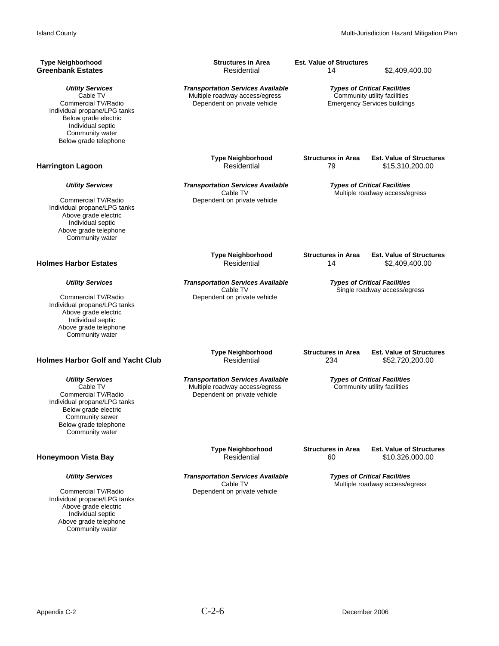| <b>Type Neighborhood</b>                                                                                                                                                            | <b>Structures in Area</b>                                                                                  | <b>Est. Value of Structures</b>                                                                            | \$2,409,400.00                  |
|-------------------------------------------------------------------------------------------------------------------------------------------------------------------------------------|------------------------------------------------------------------------------------------------------------|------------------------------------------------------------------------------------------------------------|---------------------------------|
| Greenbank Estates                                                                                                                                                                   | Residential                                                                                                | 14                                                                                                         |                                 |
| <b>Utility Services</b><br>Cable TV<br>Commercial TV/Radio<br>Individual propane/LPG tanks<br>Below grade electric<br>Individual septic<br>Community water<br>Below grade telephone | <b>Transportation Services Available</b><br>Multiple roadway access/egress<br>Dependent on private vehicle | <b>Types of Critical Facilities</b><br>Community utility facilities<br><b>Emergency Services buildings</b> |                                 |
| Harrington Lagoon                                                                                                                                                                   | <b>Type Neighborhood</b>                                                                                   | <b>Structures in Area</b>                                                                                  | <b>Est. Value of Structures</b> |
|                                                                                                                                                                                     | Residential                                                                                                | 79                                                                                                         | \$15,310,200.00                 |
| <b>Utility Services</b><br>Commercial TV/Radio<br>Individual propane/LPG tanks<br>Above grade electric<br>Individual septic<br>Above grade telephone<br>Community water             | <b>Transportation Services Available</b><br>Cable TV<br>Dependent on private vehicle                       | <b>Types of Critical Facilities</b>                                                                        | Multiple roadway access/egress  |
| Holmes Harbor Estates                                                                                                                                                               | <b>Type Neighborhood</b>                                                                                   | <b>Structures in Area</b>                                                                                  | <b>Est. Value of Structures</b> |
|                                                                                                                                                                                     | Residential                                                                                                | 14                                                                                                         | \$2,409,400.00                  |
| <b>Utility Services</b><br>Commercial TV/Radio<br>Individual propane/LPG tanks<br>Above grade electric<br>Individual septic<br>Above grade telephone<br>Community water             | <b>Transportation Services Available</b><br>Cable TV<br>Dependent on private vehicle                       | <b>Types of Critical Facilities</b><br>Single roadway access/egress                                        |                                 |
| <b>Holmes Harbor Golf and Yacht Club</b>                                                                                                                                            | <b>Type Neighborhood</b>                                                                                   | <b>Structures in Area</b>                                                                                  | <b>Est. Value of Structures</b> |
|                                                                                                                                                                                     | Residential                                                                                                | 234                                                                                                        | \$52,720,200.00                 |
| <b>Utility Services</b><br>Cable TV<br>Commercial TV/Radio<br>Individual propane/LPG tanks<br>Below grade electric<br>Community sewer<br>Below grade telephone<br>Community water   | <b>Transportation Services Available</b><br>Multiple roadway access/egress<br>Dependent on private vehicle | <b>Types of Critical Facilities</b><br>Community utility facilities                                        |                                 |
| Honeymoon Vista Bay                                                                                                                                                                 | <b>Type Neighborhood</b>                                                                                   | <b>Structures in Area</b>                                                                                  | <b>Est. Value of Structures</b> |
|                                                                                                                                                                                     | Residential                                                                                                | 60                                                                                                         | \$10,326,000.00                 |
| <b>Utility Services</b><br>Commercial TV/Radio<br>Individual propane/LPG tanks<br>Above grade electric<br>Individual septic<br>Above grade telephone<br>Community water             | <b>Transportation Services Available</b><br>Cable TV<br>Dependent on private vehicle                       | <b>Types of Critical Facilities</b>                                                                        | Multiple roadway access/egress  |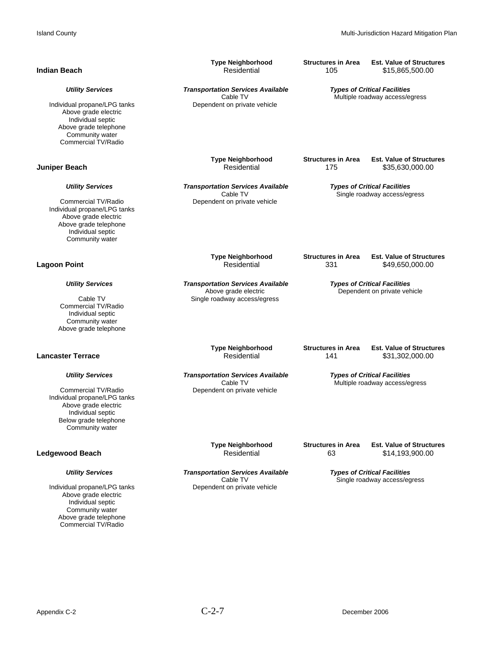| <b>Indian Beach</b>                                                                                                                          | <b>Type Neighborhood</b><br>Residential                          | <b>Structures in Area</b><br>105                                      | <b>Est. Value of Structures</b><br>\$15,865,500.00                    |
|----------------------------------------------------------------------------------------------------------------------------------------------|------------------------------------------------------------------|-----------------------------------------------------------------------|-----------------------------------------------------------------------|
| <b>Utility Services</b>                                                                                                                      | <b>Transportation Services Available</b><br>Cable TV             | <b>Types of Critical Facilities</b><br>Multiple roadway access/egress |                                                                       |
| Individual propane/LPG tanks<br>Above grade electric<br>Individual septic<br>Above grade telephone<br>Community water<br>Commercial TV/Radio | Dependent on private vehicle                                     |                                                                       |                                                                       |
| <b>Juniper Beach</b>                                                                                                                         | <b>Type Neighborhood</b><br>Residential                          | <b>Structures in Area</b><br>175                                      | <b>Est. Value of Structures</b><br>\$35,630,000.00                    |
| <b>Utility Services</b>                                                                                                                      | <b>Transportation Services Available</b><br>Cable TV             | <b>Types of Critical Facilities</b><br>Single roadway access/egress   |                                                                       |
| Commercial TV/Radio<br>Individual propane/LPG tanks<br>Above grade electric<br>Above grade telephone<br>Individual septic<br>Community water | Dependent on private vehicle                                     |                                                                       |                                                                       |
| <b>Lagoon Point</b>                                                                                                                          | <b>Type Neighborhood</b><br>Residential                          | <b>Structures in Area</b><br>331                                      | <b>Est. Value of Structures</b><br>\$49,650,000.00                    |
| <b>Utility Services</b>                                                                                                                      | <b>Transportation Services Available</b><br>Above grade electric | <b>Types of Critical Facilities</b><br>Dependent on private vehicle   |                                                                       |
| Cable TV<br>Commercial TV/Radio<br>Individual septic<br>Community water<br>Above grade telephone                                             | Single roadway access/egress                                     |                                                                       |                                                                       |
| <b>Lancaster Terrace</b>                                                                                                                     | <b>Type Neighborhood</b><br>Residential                          | <b>Structures in Area</b><br>141                                      | <b>Est. Value of Structures</b><br>\$31,302,000.00                    |
| <b>Utility Services</b>                                                                                                                      | <b>Transportation Services Available</b><br>Cable TV             |                                                                       | <b>Types of Critical Facilities</b><br>Multiple roadway access/egress |
| Commercial TV/Radio<br>Individual propane/LPG tanks<br>Above grade electric<br>Individual septic<br>Below grade telephone<br>Community water | Dependent on private vehicle                                     |                                                                       |                                                                       |
| <b>Ledgewood Beach</b>                                                                                                                       | <b>Type Neighborhood</b><br>Residential                          | <b>Structures in Area</b><br>63                                       | <b>Est. Value of Structures</b><br>\$14,193,900.00                    |
| <b>Utility Services</b>                                                                                                                      | <b>Transportation Services Available</b><br>Cable TV             | <b>Types of Critical Facilities</b><br>Single roadway access/egress   |                                                                       |
| Individual propane/LPG tanks<br>Above grade electric<br>Individual septic<br>Community water<br>Above grade telephone<br>Commercial TV/Radio | Dependent on private vehicle                                     |                                                                       |                                                                       |
|                                                                                                                                              |                                                                  |                                                                       |                                                                       |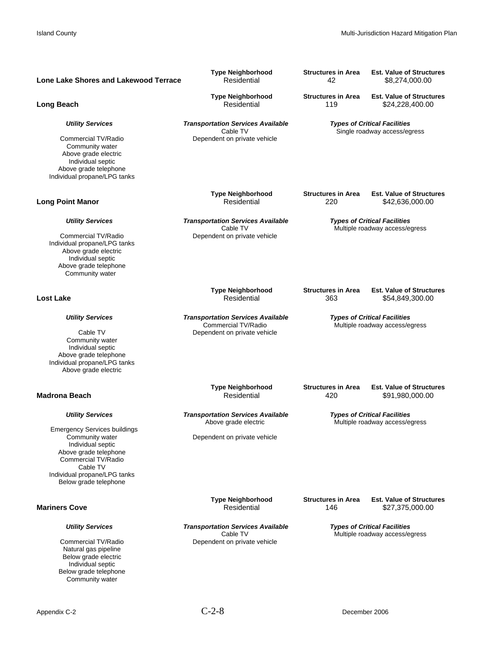| Lone Lake Shores and Lakewood Terrace                                                                                                                              | <b>Type Neighborhood</b><br>Residential                                                          | <b>Structures in Area</b><br>42                                       | <b>Est. Value of Structures</b><br>\$8,274,000.00                     |
|--------------------------------------------------------------------------------------------------------------------------------------------------------------------|--------------------------------------------------------------------------------------------------|-----------------------------------------------------------------------|-----------------------------------------------------------------------|
| Long Beach                                                                                                                                                         | <b>Type Neighborhood</b><br>Residential                                                          | <b>Structures in Area</b><br>119                                      | <b>Est. Value of Structures</b><br>\$24,228,400.00                    |
| <b>Utility Services</b>                                                                                                                                            | <b>Transportation Services Available</b><br>Cable TV                                             | <b>Types of Critical Facilities</b><br>Single roadway access/egress   |                                                                       |
| Commercial TV/Radio<br>Community water<br>Above grade electric<br>Individual septic<br>Above grade telephone<br>Individual propane/LPG tanks                       | Dependent on private vehicle                                                                     |                                                                       |                                                                       |
| <b>Long Point Manor</b>                                                                                                                                            | <b>Type Neighborhood</b><br>Residential                                                          | <b>Structures in Area</b><br>220                                      | <b>Est. Value of Structures</b><br>\$42,636,000.00                    |
| <b>Utility Services</b>                                                                                                                                            | <b>Transportation Services Available</b><br>Cable TV                                             |                                                                       | <b>Types of Critical Facilities</b><br>Multiple roadway access/egress |
| Commercial TV/Radio<br>Individual propane/LPG tanks<br>Above grade electric<br>Individual septic<br>Above grade telephone<br>Community water                       | Dependent on private vehicle                                                                     |                                                                       |                                                                       |
| <b>Lost Lake</b>                                                                                                                                                   | <b>Type Neighborhood</b><br>Residential                                                          | <b>Structures in Area</b><br>363                                      | <b>Est. Value of Structures</b><br>\$54,849,300.00                    |
| <b>Utility Services</b><br>Cable TV<br>Community water<br>Individual septic<br>Above grade telephone<br>Individual propane/LPG tanks<br>Above grade electric       | <b>Transportation Services Available</b><br>Commercial TV/Radio<br>Dependent on private vehicle  | <b>Types of Critical Facilities</b><br>Multiple roadway access/egress |                                                                       |
| <b>Madrona Beach</b>                                                                                                                                               | <b>Type Neighborhood</b><br>Residential                                                          | <b>Structures in Area</b><br>420                                      | <b>Est. Value of Structures</b><br>\$91,980,000.00                    |
| <b>Utility Services</b><br><b>Emergency Services buildings</b><br>Community water<br>Individual septic<br>Above grade telephone<br>Commercial TV/Radio<br>Cable TV | <b>Transportation Services Available</b><br>Above grade electric<br>Dependent on private vehicle |                                                                       | <b>Types of Critical Facilities</b><br>Multiple roadway access/egress |
| Individual propane/LPG tanks<br>Below grade telephone                                                                                                              |                                                                                                  |                                                                       |                                                                       |
| <b>Mariners Cove</b>                                                                                                                                               | <b>Type Neighborhood</b><br>Residential                                                          | <b>Structures in Area</b><br>146                                      | <b>Est. Value of Structures</b><br>\$27,375,000.00                    |
| <b>Utility Services</b><br>Commercial TV/Radio<br>Natural gas pipeline<br>Below grade electric<br>Individual septic<br>Below grade telephone<br>Community water    | <b>Transportation Services Available</b><br>Cable TV<br>Dependent on private vehicle             |                                                                       | <b>Types of Critical Facilities</b><br>Multiple roadway access/egress |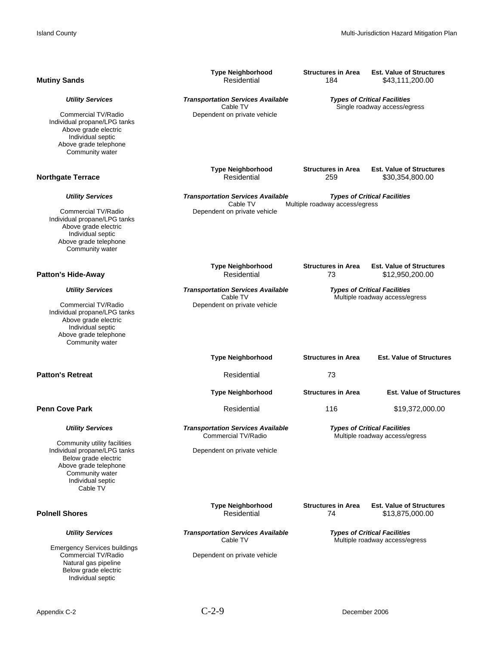| <b>Mutiny Sands</b>                                                                                                                                                                          | <b>Type Neighborhood</b><br>Residential                                                         | <b>Structures in Area</b><br>184                                      | <b>Est. Value of Structures</b><br>\$43,111,200.00                    |
|----------------------------------------------------------------------------------------------------------------------------------------------------------------------------------------------|-------------------------------------------------------------------------------------------------|-----------------------------------------------------------------------|-----------------------------------------------------------------------|
| <b>Utility Services</b><br>Commercial TV/Radio<br>Individual propane/LPG tanks<br>Above grade electric<br>Individual septic<br>Above grade telephone<br>Community water                      | <b>Transportation Services Available</b><br>Cable TV<br>Dependent on private vehicle            |                                                                       | <b>Types of Critical Facilities</b><br>Single roadway access/egress   |
| <b>Northgate Terrace</b>                                                                                                                                                                     | <b>Type Neighborhood</b><br>Residential                                                         | <b>Structures in Area</b><br>259                                      | <b>Est. Value of Structures</b><br>\$30,354,800.00                    |
| <b>Utility Services</b><br>Commercial TV/Radio<br>Individual propane/LPG tanks<br>Above grade electric<br>Individual septic<br>Above grade telephone<br>Community water                      | <b>Transportation Services Available</b><br>Cable TV<br>Dependent on private vehicle            | Multiple roadway access/egress                                        | <b>Types of Critical Facilities</b>                                   |
| <b>Patton's Hide-Away</b>                                                                                                                                                                    | <b>Type Neighborhood</b><br>Residential                                                         | <b>Structures in Area</b><br>73                                       | <b>Est. Value of Structures</b><br>\$12,950,200.00                    |
| <b>Utility Services</b><br>Commercial TV/Radio<br>Individual propane/LPG tanks<br>Above grade electric<br>Individual septic<br>Above grade telephone<br>Community water                      | <b>Transportation Services Available</b><br>Cable TV<br>Dependent on private vehicle            | <b>Types of Critical Facilities</b><br>Multiple roadway access/egress |                                                                       |
|                                                                                                                                                                                              | <b>Type Neighborhood</b>                                                                        | <b>Structures in Area</b>                                             | <b>Est. Value of Structures</b>                                       |
| <b>Patton's Retreat</b>                                                                                                                                                                      | Residential                                                                                     | 73                                                                    |                                                                       |
|                                                                                                                                                                                              | <b>Type Neighborhood</b>                                                                        | <b>Structures in Area</b>                                             | <b>Est. Value of Structures</b>                                       |
| <b>Penn Cove Park</b>                                                                                                                                                                        | Residential                                                                                     | 116                                                                   | \$19,372,000.00                                                       |
| <b>Utility Services</b><br>Community utility facilities<br>Individual propane/LPG tanks<br>Below grade electric<br>Above grade telephone<br>Community water<br>Individual septic<br>Cable TV | <b>Transportation Services Available</b><br>Commercial TV/Radio<br>Dependent on private vehicle |                                                                       | <b>Types of Critical Facilities</b><br>Multiple roadway access/egress |
| <b>Poinell Shores</b>                                                                                                                                                                        | <b>Type Neighborhood</b><br>Residential                                                         | <b>Structures in Area</b><br>74                                       | <b>Est. Value of Structures</b><br>\$13,875,000.00                    |
| <b>Utility Services</b><br><b>Emergency Services buildings</b><br>Commercial TV/Radio<br>Natural gas pipeline<br>Below grade electric<br>Individual septic                                   | <b>Transportation Services Available</b><br>Cable TV<br>Dependent on private vehicle            |                                                                       | <b>Types of Critical Facilities</b><br>Multiple roadway access/egress |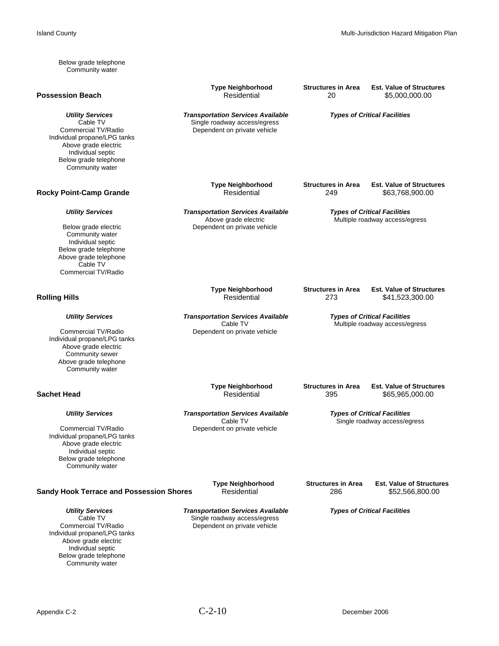Below grade telephone Community water

### **Possession Beach**

Individual propane/LPG tanks Above grade electric Individual septic Below grade telephone Community water

### **Rocky Point-Camp Grande**

Community water Individual septic Below grade telephone Above grade telephone Cable TV Commercial TV/Radio

Individual propane/LPG tanks Above grade electric Community sewer Above grade telephone Community water

Individual propane/LPG tanks Above grade electric Individual septic Below grade telephone Community water

### **Sandy Hook Terrace and Possession Shores** Residential 286 286 \$52,566,800.00

Individual propane/LPG tanks Above grade electric Individual septic Below grade telephone Community water

**Type Neighborhood Structures in Area Est. Value of Structures**<br>Residential 20 \$5.000.000.00

*Utility Services*<br>
Cable TV *Transportation Services Available Types of Critical Facilities*<br>
Single roadway access/egress Cable TV<br>Cable TV Single roadway access/egress<br>Dependent on private vehicle<br>Commercial TV/Radio Dependent on private vehicle

**Type Neighborhood Structures in Area Est. Value of Structures**<br>Residential 249 \$63.768.900.00

Dependent on private vehicle

 *Utility Services Transportation Services Available Types of Critical Facilities*

Above grade electric and a metal of the Multiple roadway access/egress<br>
Below grade electric contract of Dependent on private vehicle

Type Neighborhood Structures in Area Est. Value of Structures<br>Residential 273 273 541,523,300.00  $$41,523,300.00$ 

 *Utility Services Transportation Services Available Types of Critical Facilities* Cable TV<br>Commercial TV/Radio Commercial TV/Radio Commercial TV/Radio Commercial TV/Radio Dependent on private vehicle

Type Neighborhood Structures in Area Est. Value of Structures<br>Sachet Head **Structures <b>Structures** Residential 395 365,965,000.00  $$65,965,000.00$ 

 *Utility Services Transportation Services Available Types of Critical Facilities* Cable TV<br>
Cable TV<br>
Commercial TV/Radio<br>
Dependent on private vehicle<br>
Single roadway access/egress<br>
Single roadway access/egress Dependent on private vehicle

**Type Neighborhood Structures in Area Est. Value of Structures**

*Utility Services*<br>Cable TV *Transportation Services Available Types of Critical Facilities*<br>Cable TV *Single roadway access/egress* Cable TV<br>Cable TV Single roadway access/egress<br>Dependent on private vehicle<br>Commercial TV/Radio Dependent on private vehicle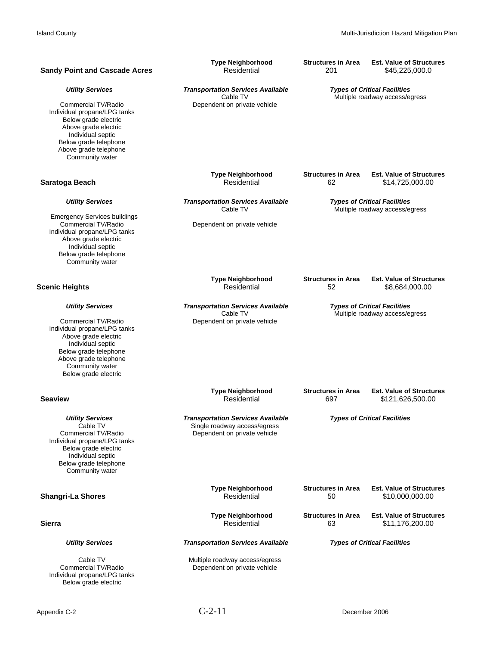| <b>Sandy Point and Cascade Acres</b>                                                                                                                                                                                     | <b>Type Neighborhood</b>                                                                                 | <b>Structures in Area</b>                                             | <b>Est. Value of Structures</b>                                       |
|--------------------------------------------------------------------------------------------------------------------------------------------------------------------------------------------------------------------------|----------------------------------------------------------------------------------------------------------|-----------------------------------------------------------------------|-----------------------------------------------------------------------|
|                                                                                                                                                                                                                          | Residential                                                                                              | 201                                                                   | \$45,225,000.0                                                        |
| <b>Utility Services</b><br>Commercial TV/Radio<br>Individual propane/LPG tanks<br>Below grade electric<br>Above grade electric<br>Individual septic<br>Below grade telephone<br>Above grade telephone<br>Community water | <b>Transportation Services Available</b><br>Cable TV<br>Dependent on private vehicle                     |                                                                       | <b>Types of Critical Facilities</b><br>Multiple roadway access/egress |
| Saratoga Beach                                                                                                                                                                                                           | <b>Type Neighborhood</b>                                                                                 | <b>Structures in Area</b>                                             | <b>Est. Value of Structures</b>                                       |
|                                                                                                                                                                                                                          | Residential                                                                                              | 62                                                                    | \$14,725,000.00                                                       |
| <b>Utility Services</b><br><b>Emergency Services buildings</b><br>Commercial TV/Radio<br>Individual propane/LPG tanks<br>Above grade electric<br>Individual septic<br>Below grade telephone<br>Community water           | <b>Transportation Services Available</b><br>Cable TV<br>Dependent on private vehicle                     |                                                                       | <b>Types of Critical Facilities</b><br>Multiple roadway access/egress |
| <b>Scenic Heights</b>                                                                                                                                                                                                    | <b>Type Neighborhood</b>                                                                                 | <b>Structures in Area</b>                                             | <b>Est. Value of Structures</b>                                       |
|                                                                                                                                                                                                                          | Residential                                                                                              | 52                                                                    | \$8,684,000.00                                                        |
| <b>Utility Services</b><br>Commercial TV/Radio<br>Individual propane/LPG tanks<br>Above grade electric<br>Individual septic<br>Below grade telephone<br>Above grade telephone<br>Community water<br>Below grade electric | <b>Transportation Services Available</b><br>Cable TV<br>Dependent on private vehicle                     | <b>Types of Critical Facilities</b><br>Multiple roadway access/egress |                                                                       |
| <b>Seaview</b>                                                                                                                                                                                                           | <b>Type Neighborhood</b>                                                                                 | <b>Structures in Area</b>                                             | <b>Est. Value of Structures</b>                                       |
|                                                                                                                                                                                                                          | Residential                                                                                              | 697                                                                   | \$121,626,500.00                                                      |
| <b>Utility Services</b><br>Cable TV<br>Commercial TV/Radio<br>Individual propane/LPG tanks<br>Below grade electric<br>Individual septic<br>Below grade telephone<br>Community water                                      | <b>Transportation Services Available</b><br>Single roadway access/egress<br>Dependent on private vehicle |                                                                       | <b>Types of Critical Facilities</b>                                   |
| <b>Shangri-La Shores</b>                                                                                                                                                                                                 | <b>Type Neighborhood</b>                                                                                 | <b>Structures in Area</b>                                             | <b>Est. Value of Structures</b>                                       |
|                                                                                                                                                                                                                          | Residential                                                                                              | 50                                                                    | \$10,000,000.00                                                       |
| <b>Sierra</b>                                                                                                                                                                                                            | <b>Type Neighborhood</b>                                                                                 | <b>Structures in Area</b>                                             | <b>Est. Value of Structures</b>                                       |
|                                                                                                                                                                                                                          | Residential                                                                                              | 63                                                                    | \$11,176,200.00                                                       |
| <b>Utility Services</b>                                                                                                                                                                                                  | <b>Transportation Services Available</b>                                                                 | <b>Types of Critical Facilities</b>                                   |                                                                       |
| Cable TV<br>Commercial TV/Radio<br>Individual propane/LPG tanks<br>Below grade electric                                                                                                                                  | Multiple roadway access/egress<br>Dependent on private vehicle                                           |                                                                       |                                                                       |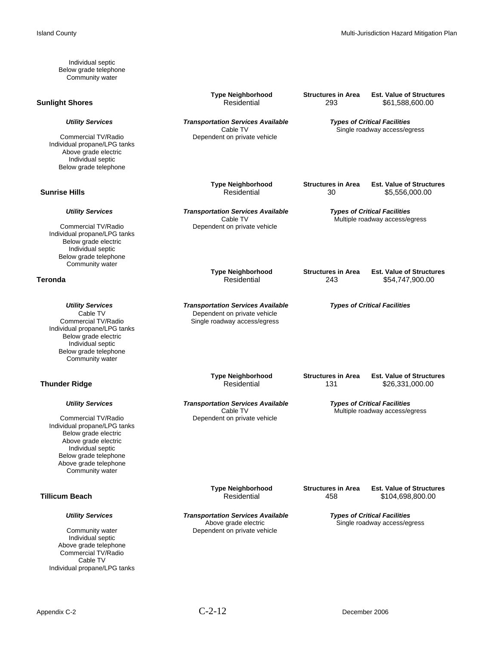Individual septic Below grade telephone Community water

### **Sunlight Shores Residential** 293

Individual propane/LPG tanks Above grade electric Individual septic Below grade telephone

Individual propane/LPG tanks Below grade electric Individual septic Below grade telephone Community water

Individual propane/LPG tanks Below grade electric Individual septic Below grade telephone Community water

### **Thunder Ridge**

Individual propane/LPG tanks Below grade electric Above grade electric Individual septic Below grade telephone Above grade telephone Community water

Individual septic Above grade telephone Commercial TV/Radio Cable TV Individual propane/LPG tanks

**Type Neighborhood Structures in Area Est. Value of Structures**<br>Residential 293 \$61,588,600.00

 *Utility Services Transportation Services Available Types of Critical Facilities* Cable TV<br>Commercial TV/Radio Commercial TV/Radio Dependent on private vehicle Dependent on private vehicle

**Type Neighborhood Structures in Area Est. Value of Structures**<br>
Structures in Area Est. Value of Structures<br>
St.556.000.00

 $$5,556,000.00$ 

*Utility Services* Transportation Services Available **Types of Critical Facilities**<br>Cable TV *Cable TV* **Multiple roadway access/e** Cable TV<br>Commercial TV/Radio Commercial TV/Radio Commercial TV/Radio Commercial TV/Radio Dependent on private vehicle

 **Type Neighborhood Structures in Area Est. Value of Structures Teronda** Residential 243 \$54,747,900.00

*Utility Services* **Transportation Services Available** *Types of Critical Facilities***<br>Cable TV <b>***Dependent on private vehicle* Cable TV<br>Commercial TV/Radio Commercial TV/Radio Single roadway access/egress Single roadway access/egress

**Type Neighborhood Structures in Area Est. Value of Structures <br>Residential 131 \$26.331.000.00** 

 *Utility Services Transportation Services Available Types of Critical Facilities* Cable TV<br>Commercial TV/Radio Commercial TV/Radio Commercial TV/Radio Commercial TV/Radio Dependent on private vehicle

**Type Neighborhood Structures in Area Est. Value of Structures <br>Tillicum Beach desidential and the structure of the structures of the Structures of the Structures of the Structures**  $$104,698,800.00$ 

 *Utility Services Transportation Services Available Types of Critical Facilities* Above grade electric **Single roadway access/egress**<br>Community water **Single roadway access/egress**<br>Dependent on private vehicle Dependent on private vehicle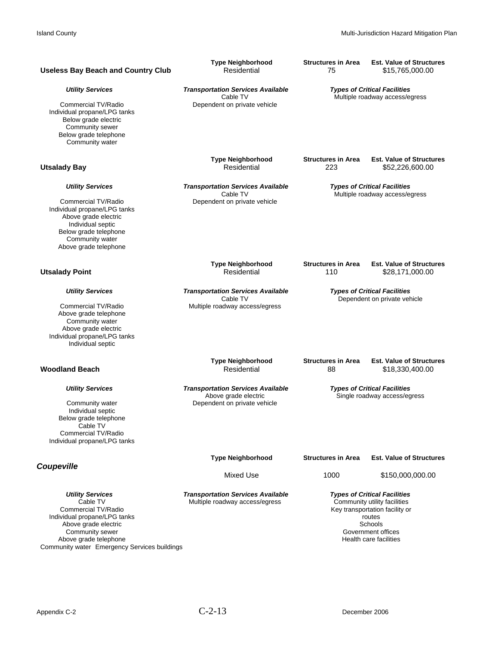| <b>Useless Bay Beach and Country Club</b>                                                                                                                                                                      | <b>Type Neighborhood</b><br>Residential                                                          | <b>Structures in Area</b><br>75                                     | <b>Est. Value of Structures</b><br>\$15,765,000.00                                                                                                                         |
|----------------------------------------------------------------------------------------------------------------------------------------------------------------------------------------------------------------|--------------------------------------------------------------------------------------------------|---------------------------------------------------------------------|----------------------------------------------------------------------------------------------------------------------------------------------------------------------------|
| <b>Utility Services</b><br>Commercial TV/Radio<br>Individual propane/LPG tanks<br>Below grade electric<br>Community sewer<br>Below grade telephone<br>Community water                                          | <b>Transportation Services Available</b><br>Cable TV<br>Dependent on private vehicle             |                                                                     | <b>Types of Critical Facilities</b><br>Multiple roadway access/egress                                                                                                      |
| <b>Utsalady Bay</b>                                                                                                                                                                                            | <b>Type Neighborhood</b><br>Residential                                                          | <b>Structures in Area</b><br>223                                    | <b>Est. Value of Structures</b><br>\$52,226,600.00                                                                                                                         |
| <b>Utility Services</b><br>Commercial TV/Radio<br>Individual propane/LPG tanks<br>Above grade electric<br>Individual septic<br>Below grade telephone<br>Community water<br>Above grade telephone               | <b>Transportation Services Available</b><br>Cable TV<br>Dependent on private vehicle             |                                                                     | <b>Types of Critical Facilities</b><br>Multiple roadway access/egress                                                                                                      |
| <b>Utsalady Point</b>                                                                                                                                                                                          | <b>Type Neighborhood</b><br>Residential                                                          | <b>Structures in Area</b><br>110                                    | <b>Est. Value of Structures</b><br>\$28,171,000.00                                                                                                                         |
| <b>Utility Services</b><br>Commercial TV/Radio<br>Above grade telephone<br>Community water<br>Above grade electric<br>Individual propane/LPG tanks<br>Individual septic                                        | <b>Transportation Services Available</b><br>Cable TV<br>Multiple roadway access/egress           | <b>Types of Critical Facilities</b><br>Dependent on private vehicle |                                                                                                                                                                            |
| <b>Woodland Beach</b>                                                                                                                                                                                          | <b>Type Neighborhood</b><br>Residential                                                          | <b>Structures in Area</b><br>88                                     | <b>Est. Value of Structures</b><br>\$18,330,400.00                                                                                                                         |
| <b>Utility Services</b><br>Community water<br>Individual septic<br>Below grade telephone<br>Cable TV<br>Commercial TV/Radio<br>Individual propane/LPG tanks                                                    | <b>Transportation Services Available</b><br>Above grade electric<br>Dependent on private vehicle |                                                                     | <b>Types of Critical Facilities</b><br>Single roadway access/egress                                                                                                        |
| <b>Coupeville</b>                                                                                                                                                                                              | <b>Type Neighborhood</b>                                                                         | <b>Structures in Area</b>                                           | <b>Est. Value of Structures</b>                                                                                                                                            |
|                                                                                                                                                                                                                | Mixed Use                                                                                        | 1000                                                                | \$150,000,000.00                                                                                                                                                           |
| <b>Utility Services</b><br>Cable TV<br>Commercial TV/Radio<br>Individual propane/LPG tanks<br>Above grade electric<br>Community sewer<br>Above grade telephone<br>Community water Emergency Services buildings | <b>Transportation Services Available</b><br>Multiple roadway access/egress                       |                                                                     | <b>Types of Critical Facilities</b><br>Community utility facilities<br>Key transportation facility or<br>routes<br>Schools<br>Government offices<br>Health care facilities |